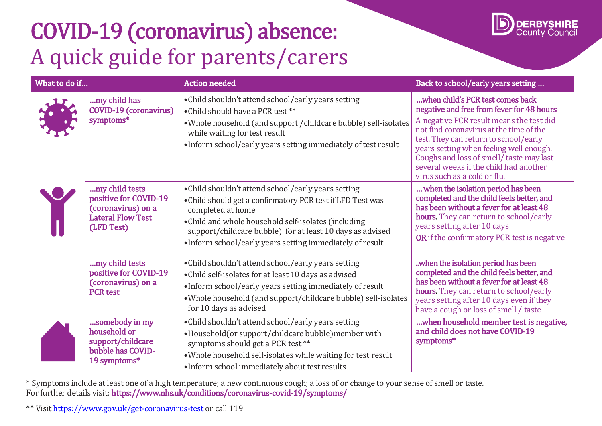## COVID-19 (coronavirus) absence: A quick guide for parents/carers



| What to do if |                                                                                                         | <b>Action needed</b>                                                                                                                                                                                                                                                                                                    | Back to school/early years setting                                                                                                                                                                                                                                                                                                                                            |
|---------------|---------------------------------------------------------------------------------------------------------|-------------------------------------------------------------------------------------------------------------------------------------------------------------------------------------------------------------------------------------------------------------------------------------------------------------------------|-------------------------------------------------------------------------------------------------------------------------------------------------------------------------------------------------------------------------------------------------------------------------------------------------------------------------------------------------------------------------------|
|               | my child has<br><b>COVID-19 (coronavirus)</b><br>symptoms*                                              | • Child shouldn't attend school/early years setting<br>• Child should have a PCR test **<br>. Whole household (and support / childcare bubble) self-isolates<br>while waiting for test result<br>• Inform school/early years setting immediately of test result                                                         | when child's PCR test comes back<br>negative and free from fever for 48 hours<br>A negative PCR result means the test did<br>not find coronavirus at the time of the<br>test. They can return to school/early<br>years setting when feeling well enough.<br>Coughs and loss of smell/taste may last<br>several weeks if the child had another<br>virus such as a cold or flu. |
|               | my child tests<br>positive for COVID-19<br>(coronavirus) on a<br><b>Lateral Flow Test</b><br>(LFD Test) | • Child shouldn't attend school/early years setting<br>• Child should get a confirmatory PCR test if LFD Test was<br>completed at home<br>• Child and whole household self-isolates (including<br>support/childcare bubble) for at least 10 days as advised<br>•Inform school/early years setting immediately of result | when the isolation period has been<br>completed and the child feels better, and<br>has been without a fever for at least 48<br>hours. They can return to school/early<br>years setting after 10 days<br>OR if the confirmatory PCR test is negative                                                                                                                           |
|               | my child tests<br>positive for COVID-19<br>(coronavirus) on a<br><b>PCR</b> test                        | · Child shouldn't attend school/early years setting<br>• Child self-isolates for at least 10 days as advised<br>• Inform school/early years setting immediately of result<br>. Whole household (and support/childcare bubble) self-isolates<br>for 10 days as advised                                                   | .when the isolation period has been<br>completed and the child feels better, and<br>has been without a fever for at least 48<br>hours. They can return to school/early<br>years setting after 10 days even if they<br>have a cough or loss of smell / taste                                                                                                                   |
|               | somebody in my<br>household or<br>support/childcare<br>bubble has COVID-<br>19 symptoms*                | • Child shouldn't attend school/early years setting<br>•Household(or support/childcare bubble)member with<br>symptoms should get a PCR test **<br>. Whole household self-isolates while waiting for test result<br>• Inform school immediately about test results                                                       | when household member test is negative,<br>and child does not have COVID-19<br>symptoms*                                                                                                                                                                                                                                                                                      |

\* Symptoms include at least one of a high temperature; a new continuous cough; a loss of or change to your sense of smell or taste. For further details visit: https:/[/www.nhs.uk/conditions/coronavirus-covid-19/symptoms/](http://www.nhs.uk/conditions/coronavirus-covid-19/symptoms/) 

\*\* Visi[t https://www.gov.uk/get-coronavirus-test](https://www.gov.uk/get-coronavirus-test) or call 119